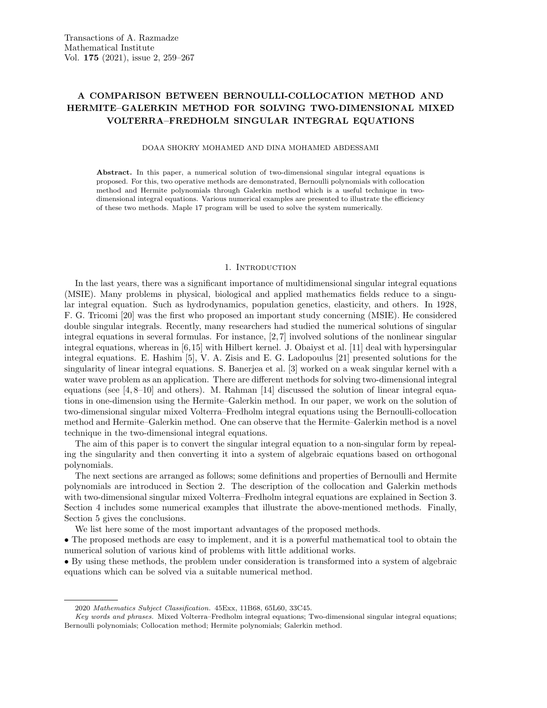# A COMPARISON BETWEEN BERNOULLI-COLLOCATION METHOD AND HERMITE–GALERKIN METHOD FOR SOLVING TWO-DIMENSIONAL MIXED VOLTERRA–FREDHOLM SINGULAR INTEGRAL EQUATIONS

DOAA SHOKRY MOHAMED AND DINA MOHAMED ABDESSAMI

Abstract. In this paper, a numerical solution of two-dimensional singular integral equations is proposed. For this, two operative methods are demonstrated, Bernoulli polynomials with collocation method and Hermite polynomials through Galerkin method which is a useful technique in twodimensional integral equations. Various numerical examples are presented to illustrate the efficiency of these two methods. Maple 17 program will be used to solve the system numerically.

## 1. INTRODUCTION

In the last years, there was a significant importance of multidimensional singular integral equations (MSIE). Many problems in physical, biological and applied mathematics fields reduce to a singular integral equation. Such as hydrodynamics, population genetics, elasticity, and others. In 1928, F. G. Tricomi [20] was the first who proposed an important study concerning (MSIE). He considered double singular integrals. Recently, many researchers had studied the numerical solutions of singular integral equations in several formulas. For instance, [2, 7] involved solutions of the nonlinear singular integral equations, whereas in [6,15] with Hilbert kernel. J. Obaiyst et al. [11] deal with hypersingular integral equations. E. Hashim [5], V. A. Zisis and E. G. Ladopoulus [21] presented solutions for the singularity of linear integral equations. S. Banerjea et al. [3] worked on a weak singular kernel with a water wave problem as an application. There are different methods for solving two-dimensional integral equations (see  $[4, 8-10]$  and others). M. Rahman  $[14]$  discussed the solution of linear integral equations in one-dimension using the Hermite–Galerkin method. In our paper, we work on the solution of two-dimensional singular mixed Volterra–Fredholm integral equations using the Bernoulli-collocation method and Hermite–Galerkin method. One can observe that the Hermite–Galerkin method is a novel technique in the two-dimensional integral equations.

The aim of this paper is to convert the singular integral equation to a non-singular form by repealing the singularity and then converting it into a system of algebraic equations based on orthogonal polynomials.

The next sections are arranged as follows; some definitions and properties of Bernoulli and Hermite polynomials are introduced in Section 2. The description of the collocation and Galerkin methods with two-dimensional singular mixed Volterra–Fredholm integral equations are explained in Section 3. Section 4 includes some numerical examples that illustrate the above-mentioned methods. Finally, Section 5 gives the conclusions.

We list here some of the most important advantages of the proposed methods.

• The proposed methods are easy to implement, and it is a powerful mathematical tool to obtain the numerical solution of various kind of problems with little additional works.

• By using these methods, the problem under consideration is transformed into a system of algebraic equations which can be solved via a suitable numerical method.

<sup>2020</sup> Mathematics Subject Classification. 45Exx, 11B68, 65L60, 33C45.

Key words and phrases. Mixed Volterra–Fredholm integral equations; Two-dimensional singular integral equations; Bernoulli polynomials; Collocation method; Hermite polynomials; Galerkin method.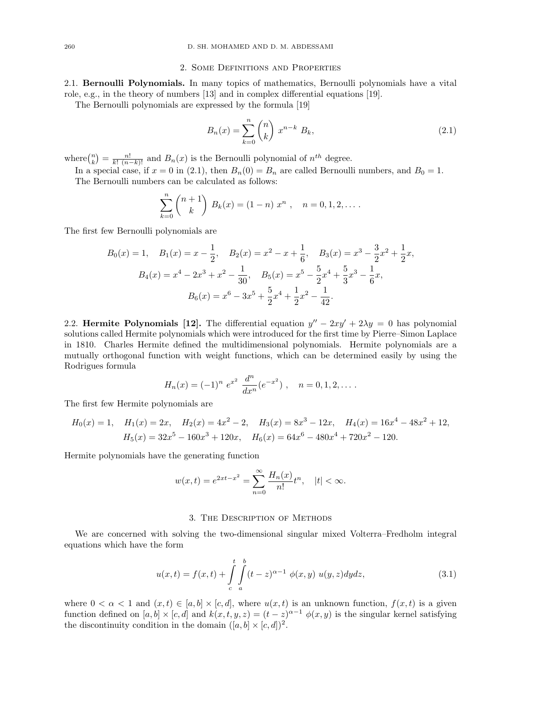#### 2. Some Definitions and Properties

2.1. Bernoulli Polynomials. In many topics of mathematics, Bernoulli polynomials have a vital role, e.g., in the theory of numbers [13] and in complex differential equations [19].

The Bernoulli polynomials are expressed by the formula [19]

$$
B_n(x) = \sum_{k=0}^{n} \binom{n}{k} x^{n-k} B_k,
$$
\n(2.1)

where  $\binom{n}{k} = \frac{n!}{k! (n-k)!}$  and  $B_n(x)$  is the Bernoulli polynomial of  $n^{th}$  degree.

In a special case, if  $x = 0$  in (2.1), then  $B_n(0) = B_n$  are called Bernoulli numbers, and  $B_0 = 1$ . The Bernoulli numbers can be calculated as follows:

$$
\sum_{k=0}^{n} {n+1 \choose k} B_k(x) = (1-n) x^n , \quad n = 0, 1, 2, \dots
$$

The first few Bernoulli polynomials are

$$
B_0(x) = 1, \quad B_1(x) = x - \frac{1}{2}, \quad B_2(x) = x^2 - x + \frac{1}{6}, \quad B_3(x) = x^3 - \frac{3}{2}x^2 + \frac{1}{2}x,
$$

$$
B_4(x) = x^4 - 2x^3 + x^2 - \frac{1}{30}, \quad B_5(x) = x^5 - \frac{5}{2}x^4 + \frac{5}{3}x^3 - \frac{1}{6}x,
$$

$$
B_6(x) = x^6 - 3x^5 + \frac{5}{2}x^4 + \frac{1}{2}x^2 - \frac{1}{42}.
$$

2.2. Hermite Polynomials [12]. The differential equation  $y'' - 2xy' + 2\lambda y = 0$  has polynomial solutions called Hermite polynomials which were introduced for the first time by Pierre–Simon Laplace in 1810. Charles Hermite defined the multidimensional polynomials. Hermite polynomials are a mutually orthogonal function with weight functions, which can be determined easily by using the Rodrigues formula

$$
H_n(x) = (-1)^n e^{x^2} \frac{d^n}{dx^n} (e^{-x^2}), \quad n = 0, 1, 2, \dots.
$$

The first few Hermite polynomials are

$$
H_0(x) = 1, \quad H_1(x) = 2x, \quad H_2(x) = 4x^2 - 2, \quad H_3(x) = 8x^3 - 12x, \quad H_4(x) = 16x^4 - 48x^2 + 12,
$$
  

$$
H_5(x) = 32x^5 - 160x^3 + 120x, \quad H_6(x) = 64x^6 - 480x^4 + 720x^2 - 120.
$$

Hermite polynomials have the generating function

$$
w(x,t) = e^{2xt - x^2} = \sum_{n=0}^{\infty} \frac{H_n(x)}{n!} t^n, \quad |t| < \infty.
$$

### 3. The Description of Methods

We are concerned with solving the two-dimensional singular mixed Volterra–Fredholm integral equations which have the form

$$
u(x,t) = f(x,t) + \int_{c}^{t} \int_{a}^{b} (t-z)^{\alpha-1} \phi(x,y) \ u(y,z) dy dz,
$$
 (3.1)

where  $0 < \alpha < 1$  and  $(x, t) \in [a, b] \times [c, d]$ , where  $u(x, t)$  is an unknown function,  $f(x, t)$  is a given function defined on  $[a, b] \times [c, d]$  and  $k(x, t, y, z) = (t - z)^{\alpha - 1} \phi(x, y)$  is the singular kernel satisfying the discontinuity condition in the domain  $([a, b] \times [c, d])^2$ .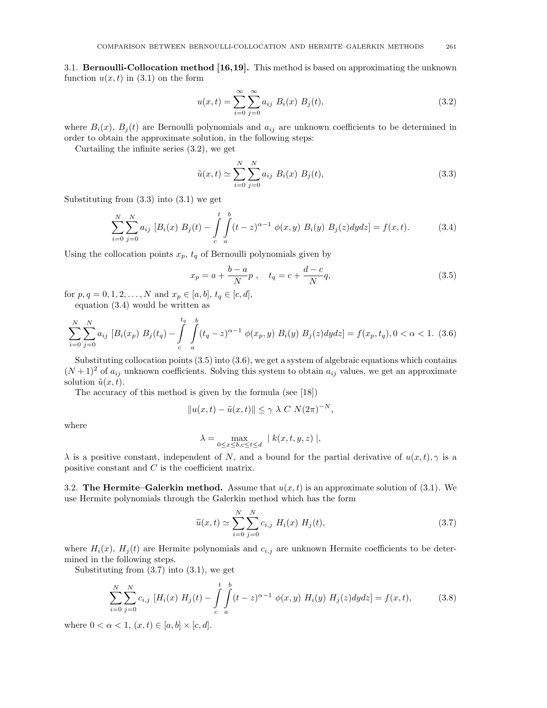3.1. Bernoulli-Collocation method [16,19]. This method is based on approximating the unknown function  $u(x, t)$  in (3.1) on the form

$$
u(x,t) = \sum_{i=0}^{\infty} \sum_{j=0}^{\infty} a_{ij} B_i(x) B_j(t),
$$
\n(3.2)

where  $B_i(x)$ ,  $B_j(t)$  are Bernoulli polynomials and  $a_{ij}$  are unknown coefficients to be determined in order to obtain the approximate solution, in the following steps:

Curtailing the infinite series (3.2), we get

$$
\tilde{u}(x,t) \simeq \sum_{i=0}^{N} \sum_{j=0}^{N} a_{ij} B_i(x) B_j(t),
$$
\n(3.3)

Substituting from  $(3.3)$  into  $(3.1)$  we get

$$
\sum_{i=0}^{N} \sum_{j=0}^{N} a_{ij} [B_i(x) B_j(t) - \int_{c}^{t} \int_{a}^{b} (t-z)^{\alpha-1} \phi(x, y) B_i(y) B_j(z) dy dz] = f(x, t).
$$
 (3.4)

Using the collocation points  $x_p$ ,  $t_q$  of Bernoulli polynomials given by

$$
x_p = a + \frac{b-a}{N}p \ , \quad t_q = c + \frac{d-c}{N}q, \tag{3.5}
$$

for  $p, q = 0, 1, 2, ..., N$  and  $x_p \in [a, b], t_q \in [c, d],$ equation (3.4) would be written as

$$
\sum_{i=0}^{N} \sum_{j=0}^{N} a_{ij} \left[ B_i(x_p) B_j(t_q) - \int_{c}^{t_q} \int_{a}^{b} (t_q - z)^{\alpha - 1} \phi(x_p, y) B_i(y) B_j(z) dy dz \right] = f(x_p, t_q), 0 < \alpha < 1.
$$
 (3.6)

Substituting collocation points (3.5) into (3.6), we get a system of algebraic equations which contains  $(N+1)^2$  of  $a_{ij}$  unknown coefficients. Solving this system to obtain  $a_{ij}$  values, we get an approximate solution  $\tilde{u}(x, t)$ .

The accuracy of this method is given by the formula (see [18])

$$
||u(x,t) - \tilde{u}(x,t)|| \leq \gamma \lambda C N (2\pi)^{-N},
$$

where

$$
\lambda = \max_{0 \le x \le b, c \le t \le d} |k(x, t, y, z)|,
$$

 $\lambda$  is a positive constant, independent of N, and a bound for the partial derivative of  $u(x, t)$ ,  $\gamma$  is a positive constant and C is the coefficient matrix.

3.2. The Hermite–Galerkin method. Assume that  $u(x, t)$  is an approximate solution of (3.1). We use Hermite polynomials through the Galerkin method which has the form

$$
\widetilde{u}(x,t) \simeq \sum_{i=0}^{N} \sum_{j=0}^{N} c_{i,j} H_i(x) H_j(t),
$$
\n(3.7)

where  $H_i(x)$ ,  $H_j(t)$  are Hermite polynomials and  $c_{i,j}$  are unknown Hermite coefficients to be determined in the following steps.

Substituting from  $(3.7)$  into  $(3.1)$ , we get

$$
\sum_{i=0}^{N} \sum_{j=0}^{N} c_{i,j} \left[ H_i(x) \ H_j(t) - \int_{c}^{t} \int_{a}^{b} (t-z)^{\alpha-1} \ \phi(x,y) \ H_i(y) \ H_j(z) dy dz \right] = f(x,t), \tag{3.8}
$$

where  $0 < \alpha < 1$ ,  $(x, t) \in [a, b] \times [c, d]$ .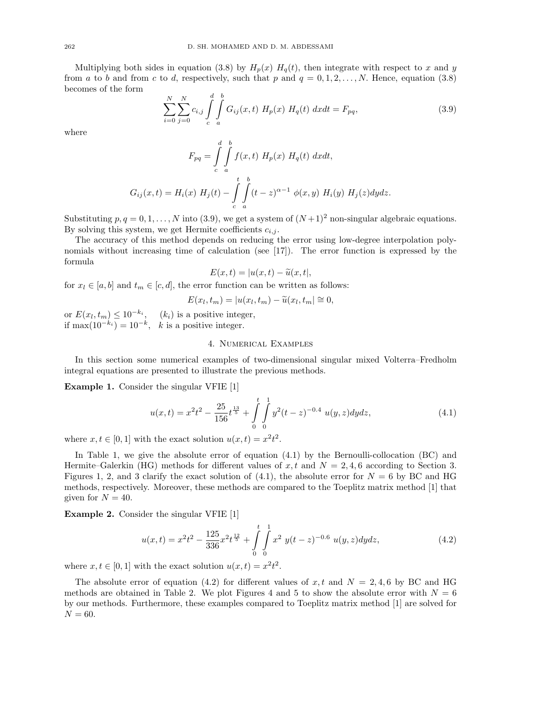Multiplying both sides in equation (3.8) by  $H_p(x)$   $H_q(t)$ , then integrate with respect to x and y from a to b and from c to d, respectively, such that p and  $q = 0, 1, 2, \ldots, N$ . Hence, equation (3.8) becomes of the form

$$
\sum_{i=0}^{N} \sum_{j=0}^{N} c_{i,j} \int_{c}^{d} \int_{a}^{b} G_{ij}(x,t) H_{p}(x) H_{q}(t) dx dt = F_{pq}, \qquad (3.9)
$$

where

$$
F_{pq} = \int\limits_c^d \int\limits_a^b f(x,t) H_p(x) H_q(t) dx dt,
$$
  

$$
G_{ij}(x,t) = H_i(x) H_j(t) - \int\limits_c^t \int\limits_a^b (t-z)^{\alpha-1} \phi(x,y) H_i(y) H_j(z) dy dz.
$$

Substituting  $p, q = 0, 1, \ldots, N$  into (3.9), we get a system of  $(N+1)^2$  non-singular algebraic equations. By solving this system, we get Hermite coefficients  $c_{i,j}$ .

The accuracy of this method depends on reducing the error using low-degree interpolation polynomials without increasing time of calculation (see [17]). The error function is expressed by the formula

$$
E(x,t) = |u(x,t) - \tilde{u}(x,t)|,
$$

 $E(x,t) = |u(x,t) - \tilde{u}(x,t)|,$ <br>for  $x_l \in [a, b]$  and  $t_m \in [c, d]$ , the error function can be written as follows:

$$
E(x_l, t_m) = |u(x_l, t_m) - \tilde{u}(x_l, t_m)| \approx 0,
$$

or  $E(x_l, t_m) \leq 10^{-k_i}$ ,  $(k_i)$  is a positive integer, if max $(10^{-k_i}) = 10^{-k}$ , k is a positive integer.

## 4. Numerical Examples

In this section some numerical examples of two-dimensional singular mixed Volterra–Fredholm integral equations are presented to illustrate the previous methods.

Example 1. Consider the singular VFIE [1]

$$
u(x,t) = x^2 t^2 - \frac{25}{156} t^{\frac{13}{5}} + \int\limits_0^t \int\limits_0^1 y^2 (t-z)^{-0.4} u(y,z) dy dz,
$$
 (4.1)

where  $x, t \in [0, 1]$  with the exact solution  $u(x,t) = x^2 t^2$ .

In Table 1, we give the absolute error of equation  $(4.1)$  by the Bernoulli-collocation  $(BC)$  and Hermite–Galerkin (HG) methods for different values of x, t and  $N = 2, 4, 6$  according to Section 3. Figures 1, 2, and 3 clarify the exact solution of (4.1), the absolute error for  $N = 6$  by BC and HG methods, respectively. Moreover, these methods are compared to the Toeplitz matrix method [1] that given for  $N = 40$ .

Example 2. Consider the singular VFIE [1]

$$
u(x,t) = x^2t^2 - \frac{125}{336}x^2t^{\frac{12}{5}} + \int\limits_0^t \int\limits_0^1 x^2 y(t-z)^{-0.6} u(y,z) dydz,
$$
 (4.2)

where  $x, t \in [0, 1]$  with the exact solution  $u(x, t) = x^2 t^2$ .

The absolute error of equation (4.2) for different values of x, t and  $N = 2, 4, 6$  by BC and HG methods are obtained in Table 2. We plot Figures 4 and 5 to show the absolute error with  $N = 6$ by our methods. Furthermore, these examples compared to Toeplitz matrix method [1] are solved for  ${\cal N}=60.$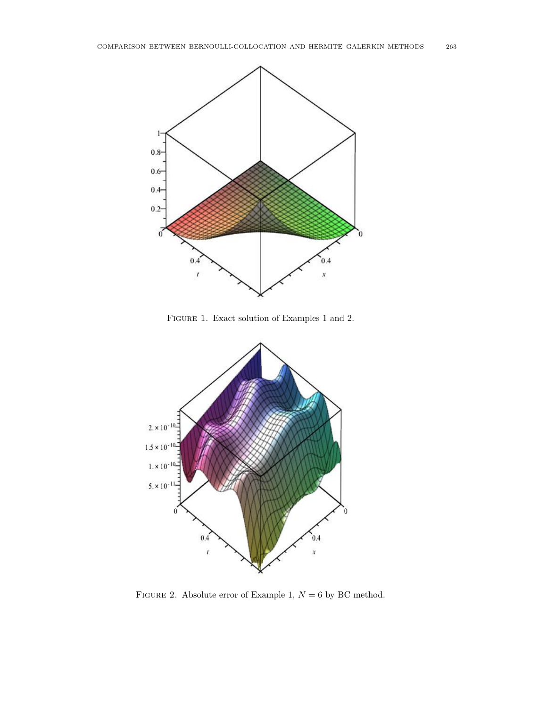

Figure 1. Exact solution of Examples 1 and 2.



FIGURE 2. Absolute error of Example 1,  $N = 6$  by BC method.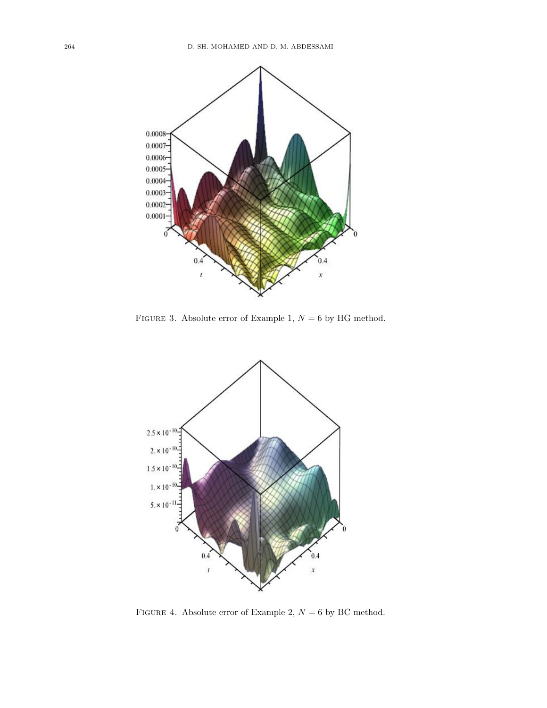

FIGURE 3. Absolute error of Example 1,  ${\cal N}=6$  by HG method.



FIGURE 4. Absolute error of Example 2,  ${\cal N}=6$  by BC method.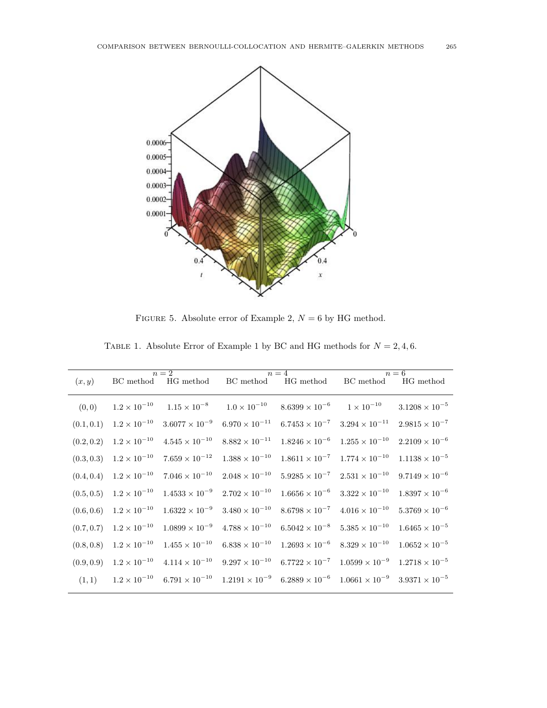

FIGURE 5. Absolute error of Example 2,  ${\cal N}=6$  by HG method.

|  | TABLE 1. Absolute Error of Example 1 by BC and HG methods for $N = 2, 4, 6$ . |  |  |  |  |  |  |  |  |
|--|-------------------------------------------------------------------------------|--|--|--|--|--|--|--|--|
|  |                                                                               |  |  |  |  |  |  |  |  |

|            |                       | $n=2$                                       |                         | $n = 4$                                                                                                                 | $n=6$                   |                         |  |  |
|------------|-----------------------|---------------------------------------------|-------------------------|-------------------------------------------------------------------------------------------------------------------------|-------------------------|-------------------------|--|--|
| (x, y)     |                       | BC method HG method BC method               |                         | HG method                                                                                                               | BC method               | HG method               |  |  |
| (0,0)      | $1.2 \times 10^{-10}$ | $1.15 \times 10^{-8}$ $1.0 \times 10^{-10}$ |                         | $8.6399 \times 10^{-6}$ $1 \times 10^{-10}$                                                                             |                         | $3.1208 \times 10^{-5}$ |  |  |
| (0.1, 0.1) | $1.2 \times 10^{-10}$ | $3.6077 \times 10^{-9}$                     | $6.970 \times 10^{-11}$ | $6.7453 \times 10^{-7}$ $3.294 \times 10^{-11}$                                                                         |                         | $2.9815 \times 10^{-7}$ |  |  |
| (0.2, 0.2) | $1.2 \times 10^{-10}$ | $4.545 \times 10^{-10}$                     | $8.882 \times 10^{-11}$ | $1.8246 \times 10^{-6}$                                                                                                 | $1.255 \times 10^{-10}$ | $2.2109 \times 10^{-6}$ |  |  |
| (0.3, 0.3) | $1.2 \times 10^{-10}$ | $7.659 \times 10^{-12}$                     | $1.388\times10^{-10}$   | $1.8611 \times 10^{-7}$ $1.774 \times 10^{-10}$                                                                         |                         | $1.1138 \times 10^{-5}$ |  |  |
| (0.4, 0.4) | $1.2 \times 10^{-10}$ | $7.046 \times 10^{-10}$                     | $2.048 \times 10^{-10}$ | $5.9285 \times 10^{-7}$ $2.531 \times 10^{-10}$                                                                         |                         | $9.7149 \times 10^{-6}$ |  |  |
| (0.5, 0.5) | $1.2 \times 10^{-10}$ | $1.4533 \times 10^{-9}$                     | $2.702 \times 10^{-10}$ | $1.6656 \times 10^{-6}$                                                                                                 | $3.322 \times 10^{-10}$ | $1.8397 \times 10^{-6}$ |  |  |
| (0.6, 0.6) | $1.2 \times 10^{-10}$ | $1.6322 \times 10^{-9}$                     | $3.480 \times 10^{-10}$ | $8.6798 \times 10^{-7}$                                                                                                 | $4.016 \times 10^{-10}$ | $5.3769 \times 10^{-6}$ |  |  |
| (0.7, 0.7) | $1.2 \times 10^{-10}$ | $1.0899 \times 10^{-9}$                     | $4.788 \times 10^{-10}$ | $6.5042 \times 10^{-8}$                                                                                                 | $5.385\times10^{-10}$   | $1.6465 \times 10^{-5}$ |  |  |
| (0.8, 0.8) | $1.2 \times 10^{-10}$ | $1.455 \times 10^{-10}$                     | $6.838 \times 10^{-10}$ | $1.2693 \times 10^{-6}$                                                                                                 | $8.329 \times 10^{-10}$ | $1.0652 \times 10^{-5}$ |  |  |
| (0.9, 0.9) | $1.2 \times 10^{-10}$ | $4.114 \times 10^{-10}$                     | $9.297 \times 10^{-10}$ | $6.7722 \times 10^{-7}$ $1.0599 \times 10^{-9}$                                                                         |                         | $1.2718 \times 10^{-5}$ |  |  |
| (1,1)      | $1.2 \times 10^{-10}$ |                                             |                         | $6.791 \times 10^{-10}$ $1.2191 \times 10^{-9}$ $6.2889 \times 10^{-6}$ $1.0661 \times 10^{-9}$ $3.9371 \times 10^{-5}$ |                         |                         |  |  |
|            |                       |                                             |                         |                                                                                                                         |                         |                         |  |  |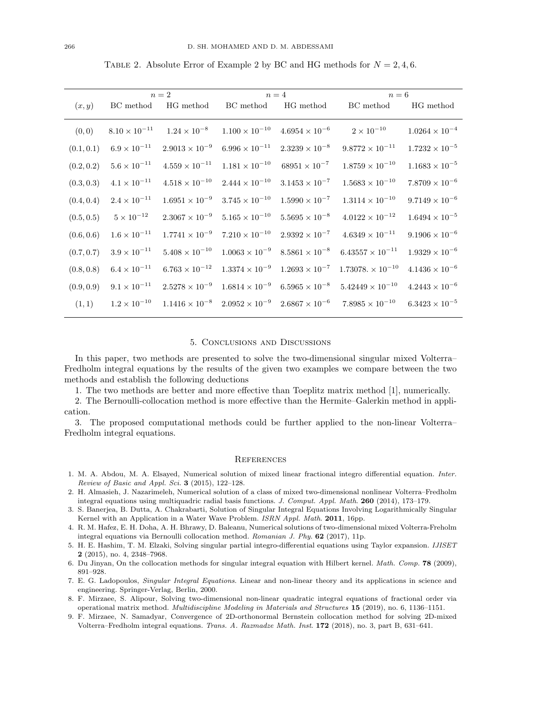TABLE 2. Absolute Error of Example 2 by BC and HG methods for  $N = 2, 4, 6$ .

|            |                        | $n=2$                   |                                                                         | $n=4$                   | $n=6$                     |                         |  |  |
|------------|------------------------|-------------------------|-------------------------------------------------------------------------|-------------------------|---------------------------|-------------------------|--|--|
| (x, y)     | BC method              | HG method               | BC method                                                               | HG method               | BC method                 | HG method               |  |  |
| (0, 0)     | $8.10 \times 10^{-11}$ | $1.24 \times 10^{-8}$   | $1.100 \times 10^{-10}$                                                 | $4.6954 \times 10^{-6}$ | $2 \times 10^{-10}$       | $1.0264 \times 10^{-4}$ |  |  |
| (0.1, 0.1) | $6.9\times10^{-11}$    | $2.9013 \times 10^{-9}$ | $6.996 \times 10^{-11}$                                                 | $2.3239\times10^{-8}$   | $9.8772 \times 10^{-11}$  | $1.7232 \times 10^{-5}$ |  |  |
| (0.2, 0.2) | $5.6 \times 10^{-11}$  | $4.559 \times 10^{-11}$ | $1.181 \times 10^{-10}$                                                 | $68951 \times 10^{-7}$  | $1.8759 \times 10^{-10}$  | $1.1683 \times 10^{-5}$ |  |  |
| (0.3, 0.3) | $4.1 \times 10^{-11}$  | $4.518 \times 10^{-10}$ | $2.444 \times 10^{-10}$                                                 | $3.1453 \times 10^{-7}$ | $1.5683\times10^{-10}$    | $7.8709 \times 10^{-6}$ |  |  |
| (0.4, 0.4) | $2.4\times10^{-11}$    | $1.6951 \times 10^{-9}$ | $3.745 \times 10^{-10}$                                                 | $1.5990 \times 10^{-7}$ | $1.3114 \times 10^{-10}$  | $9.7149 \times 10^{-6}$ |  |  |
| (0.5, 0.5) | $5\times10^{-12}$      | $2.3067\times10^{-9}$   | $5.165 \times 10^{-10}$                                                 | $5.5695\times10^{-8}$   | $4.0122\times10^{-12}$    | $1.6494 \times 10^{-5}$ |  |  |
| (0.6, 0.6) | $1.6\times10^{-11}$    | $1.7741 \times 10^{-9}$ | $7.210 \times 10^{-10}$                                                 | $2.9392\times10^{-7}$   | $4.6349 \times 10^{-11}$  | $9.1906 \times 10^{-6}$ |  |  |
| (0.7, 0.7) | $3.9 \times 10^{-11}$  | $5.408 \times 10^{-10}$ | $1.0063 \times 10^{-9}$                                                 | $8.5861 \times 10^{-8}$ | $6.43557 \times 10^{-11}$ | $1.9329 \times 10^{-6}$ |  |  |
| (0.8, 0.8) | $6.4\times10^{-11}$    | $6.763 \times 10^{-12}$ | $1.3374\times10^{-9}$                                                   | $1.2693 \times 10^{-7}$ | $1.73078 \times 10^{-10}$ | $4.1436 \times 10^{-6}$ |  |  |
| (0.9, 0.9) | $9.1 \times 10^{-11}$  | $2.5278 \times 10^{-9}$ | $1.6814 \times 10^{-9}$                                                 | $6.5965 \times 10^{-8}$ | $5.42449 \times 10^{-10}$ | $4.2443 \times 10^{-6}$ |  |  |
| (1, 1)     | $1.2\times10^{-10}$    |                         | $1.1416 \times 10^{-8}$ $2.0952 \times 10^{-9}$ $2.6867 \times 10^{-6}$ |                         | $7.8985 \times 10^{-10}$  | $6.3423\times10^{-5}$   |  |  |

## 5. Conclusions and Discussions

In this paper, two methods are presented to solve the two-dimensional singular mixed Volterra– Fredholm integral equations by the results of the given two examples we compare between the two methods and establish the following deductions

1. The two methods are better and more effective than Toeplitz matrix method [1], numerically.

2. The Bernoulli-collocation method is more effective than the Hermite–Galerkin method in application.

3. The proposed computational methods could be further applied to the non-linear Volterra– Fredholm integral equations.

#### **REFERENCES**

- 1. M. A. Abdou, M. A. Elsayed, Numerical solution of mixed linear fractional integro differential equation. Inter. Review of Basic and Appl. Sci.  $3$  (2015), 122-128.
- 2. H. Almasieh, J. Nazarimeleh, Numerical solution of a class of mixed two-dimensional nonlinear Volterra–Fredholm integral equations using multiquadric radial basis functions. J. Comput. Appl. Math. 260 (2014), 173–179.
- 3. S. Banerjea, B. Dutta, A. Chakrabarti, Solution of Singular Integral Equations Involving Logarithmically Singular Kernel with an Application in a Water Wave Problem. ISRN Appl. Math. 2011, 16pp.
- 4. R. M. Hafez, E. H. Doha, A. H. Bhrawy, D. Baleanu, Numerical solutions of two-dimensional mixed Volterra-Freholm integral equations via Bernoulli collocation method. Romanian J. Phy. 62 (2017), 11p.
- 5. H. E. Hashim, T. M. Elzaki, Solving singular partial integro-differential equations using Taylor expansion. IJISET 2 (2015), no. 4, 2348–7968.
- 6. Du Jinyan, On the collocation methods for singular integral equation with Hilbert kernel. Math. Comp. 78 (2009), 891–928.
- 7. E. G. Ladopoulos, Singular Integral Equations. Linear and non-linear theory and its applications in science and engineering. Springer-Verlag, Berlin, 2000.
- 8. F. Mirzaee, S. Alipour, Solving two-dimensional non-linear quadratic integral equations of fractional order via operational matrix method. Multidiscipline Modeling in Materials and Structures 15 (2019), no. 6, 1136–1151.
- 9. F. Mirzaee, N. Samadyar, Convergence of 2D-orthonormal Bernstein collocation method for solving 2D-mixed Volterra–Fredholm integral equations. Trans. A. Razmadze Math. Inst. 172 (2018), no. 3, part B, 631–641.